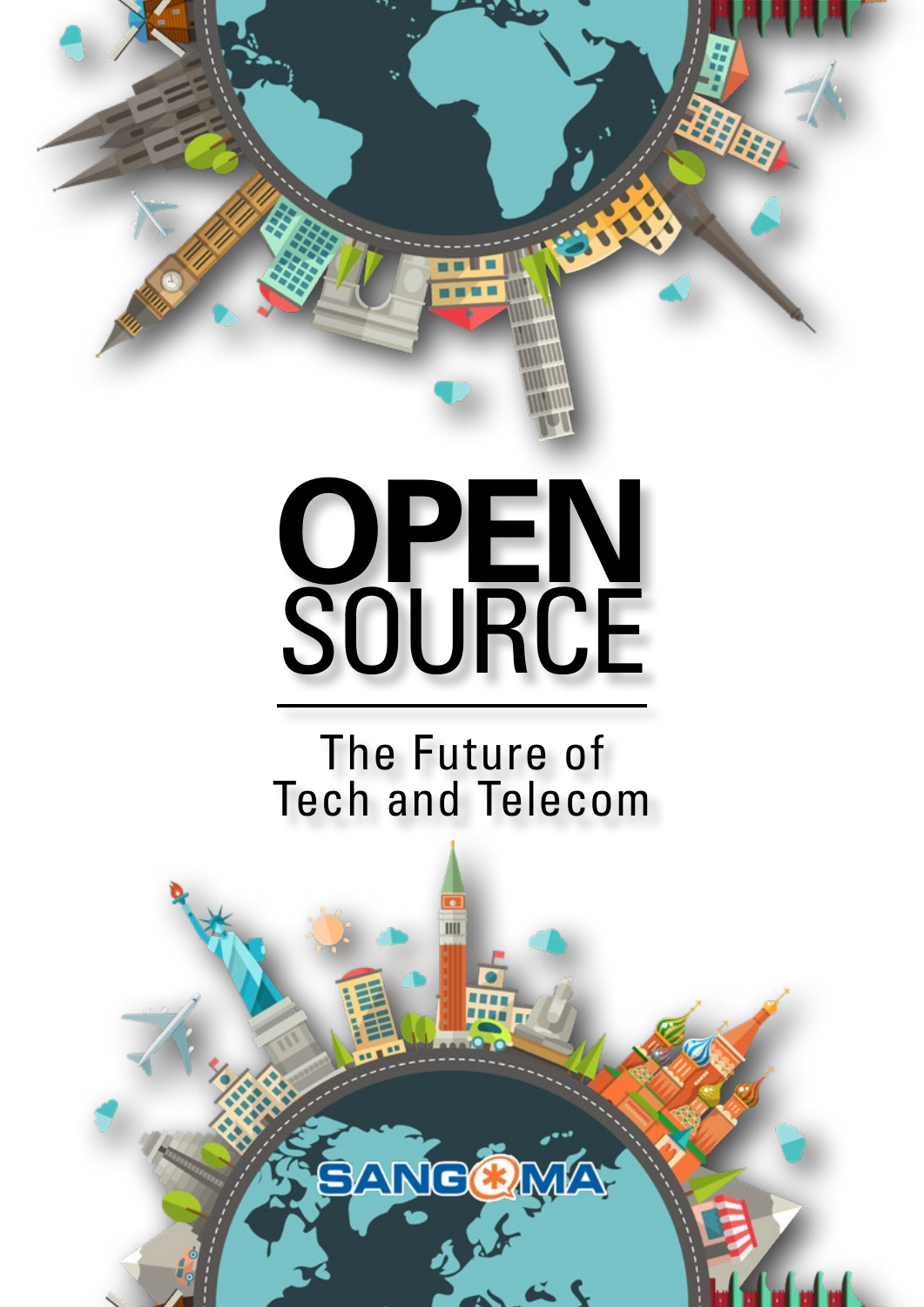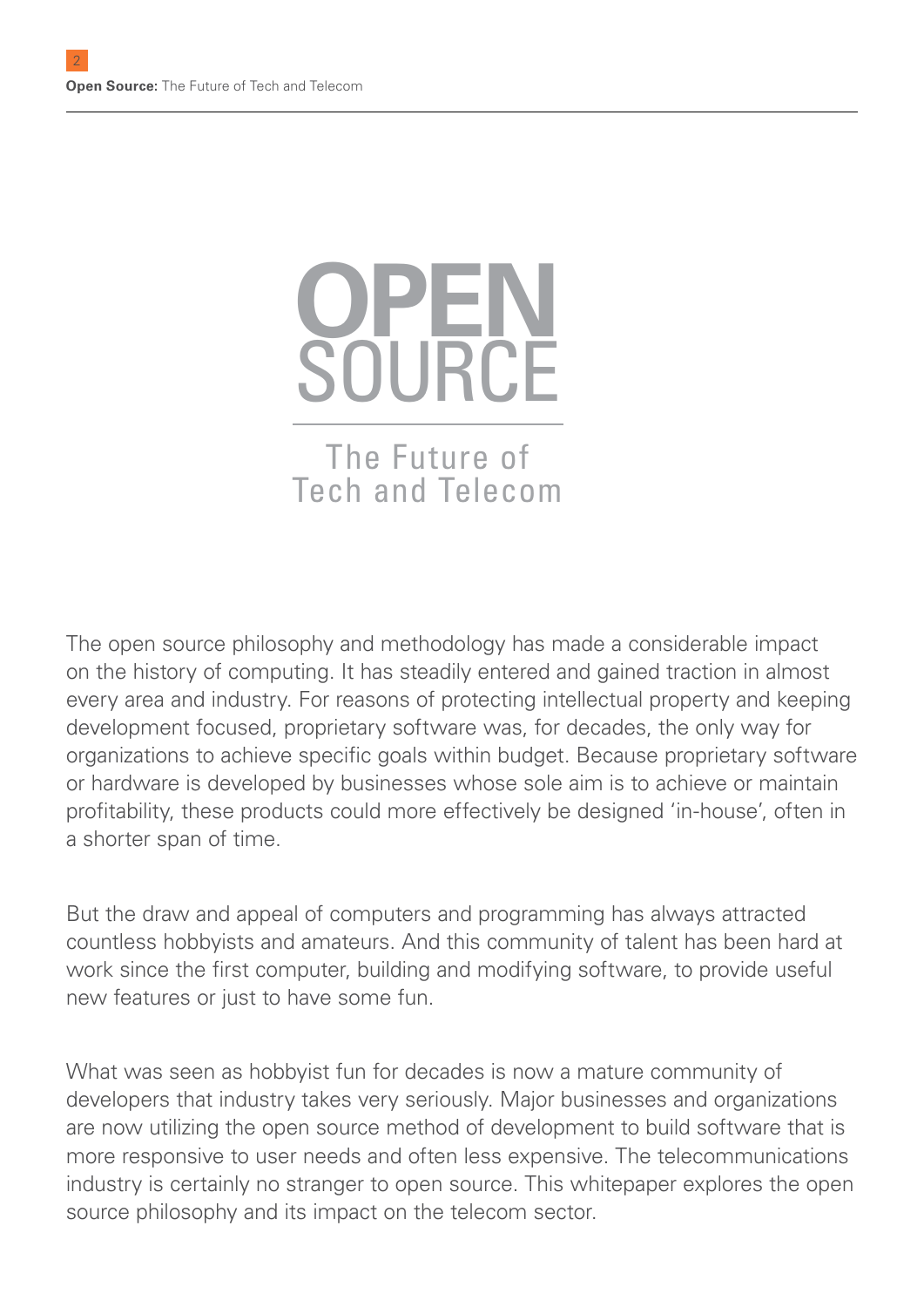# **OPEN SOURCE** The Future of Tech and Telecom

The open source philosophy and methodology has made a considerable impact on the history of computing. It has steadily entered and gained traction in almost every area and industry. For reasons of protecting intellectual property and keeping development focused, proprietary software was, for decades, the only way for organizations to achieve specific goals within budget. Because proprietary software or hardware is developed by businesses whose sole aim is to achieve or maintain profitability, these products could more effectively be designed 'in-house', often in a shorter span of time.

But the draw and appeal of computers and programming has always attracted countless hobbyists and amateurs. And this community of talent has been hard at work since the first computer, building and modifying software, to provide useful new features or just to have some fun.

What was seen as hobbyist fun for decades is now a mature community of developers that industry takes very seriously. Major businesses and organizations are now utilizing the open source method of development to build software that is more responsive to user needs and often less expensive. The telecommunications industry is certainly no stranger to open source. This whitepaper explores the open source philosophy and its impact on the telecom sector.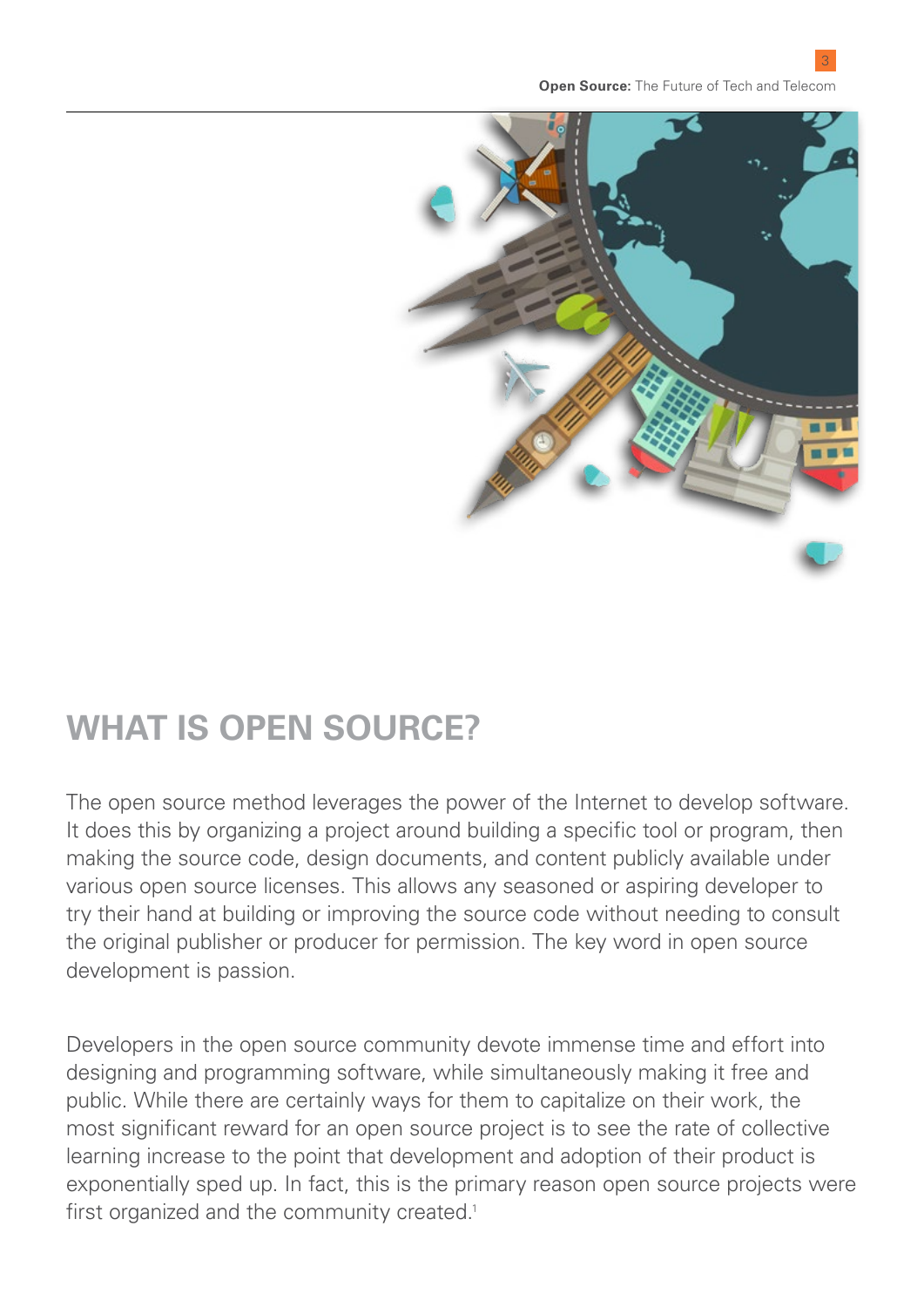

### **WHAT IS OPEN SOURCE?**

The open source method leverages the power of the Internet to develop software. It does this by organizing a project around building a specific tool or program, then making the source code, design documents, and content publicly available under various open source licenses. This allows any seasoned or aspiring developer to try their hand at building or improving the source code without needing to consult the original publisher or producer for permission. The key word in open source development is passion.

Developers in the open source community devote immense time and effort into designing and programming software, while simultaneously making it free and public. While there are certainly ways for them to capitalize on their work, the most significant reward for an open source project is to see the rate of collective learning increase to the point that development and adoption of their product is exponentially sped up. In fact, this is the primary reason open source projects were first organized and the community created.<sup>1</sup>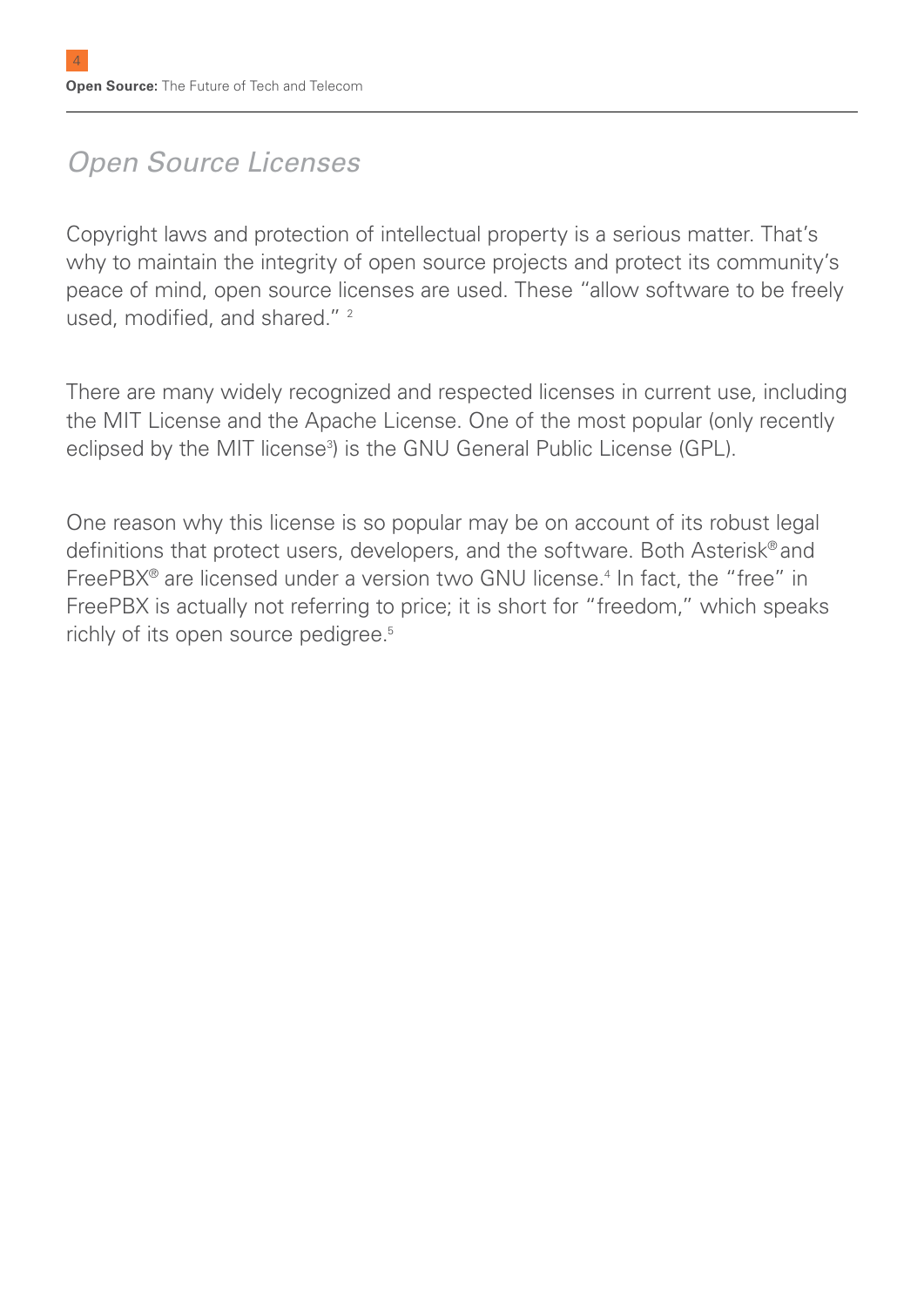### *Open Source Licenses*

Copyright laws and protection of intellectual property is a serious matter. That's why to maintain the integrity of open source projects and protect its community's peace of mind, open source licenses are used. These "allow software to be freely used, modified, and shared."<sup>2</sup>

There are many widely recognized and respected licenses in current use, including the MIT License and the Apache License. One of the most popular (only recently eclipsed by the MIT license<sup>3</sup>) is the GNU General Public License (GPL).

One reason why this license is so popular may be on account of its robust legal definitions that protect users, developers, and the software. Both Asterisk® and FreePBX<sup>®</sup> are licensed under a version two GNU license.<sup>4</sup> In fact, the "free" in FreePBX is actually not referring to price; it is short for "freedom," which speaks richly of its open source pedigree.<sup>5</sup>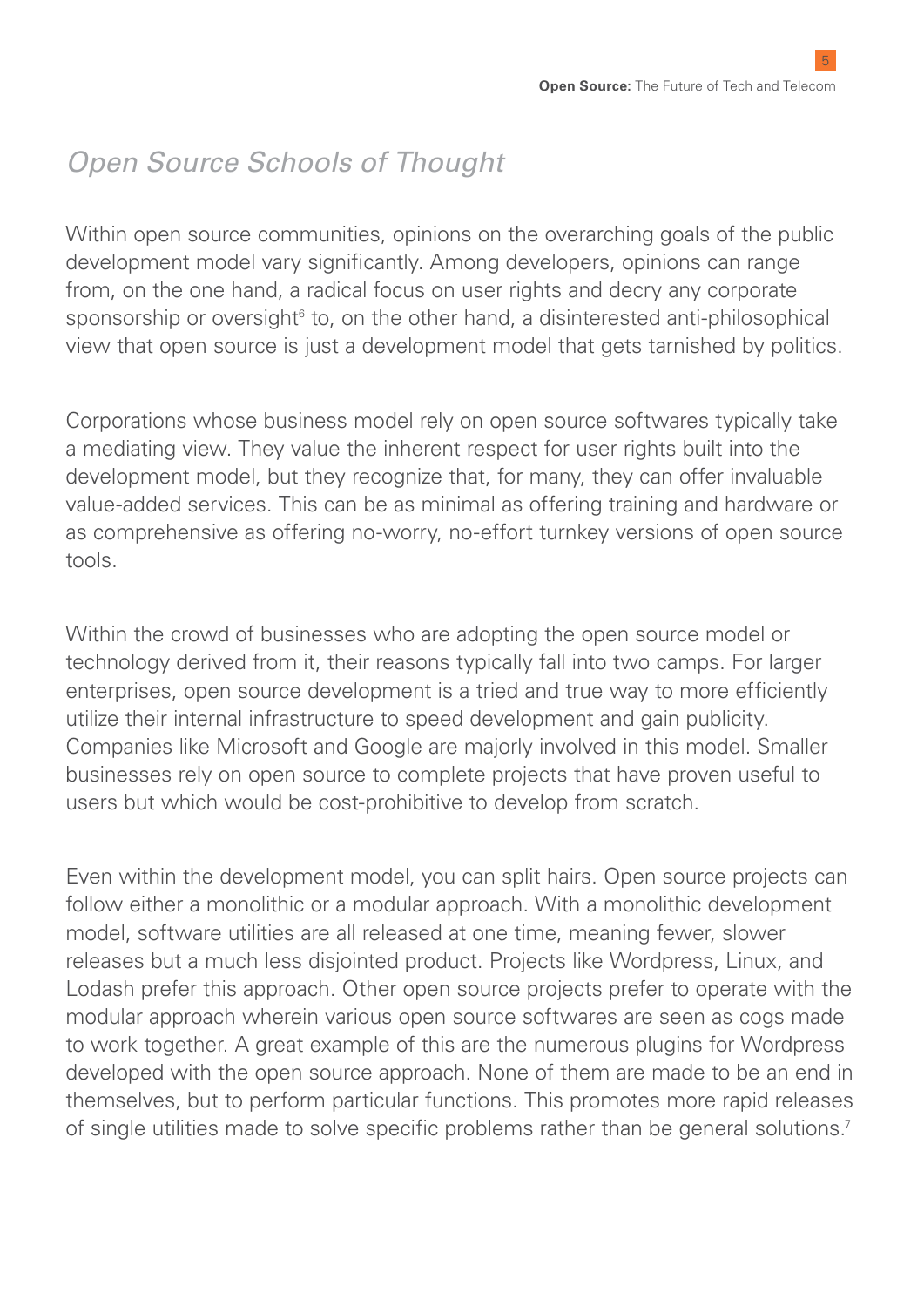### *Open Source Schools of Thought*

Within open source communities, opinions on the overarching goals of the public development model vary significantly. Among developers, opinions can range from, on the one hand, a radical focus on user rights and decry any corporate sponsorship or oversight<sup>6</sup> to, on the other hand, a disinterested anti-philosophical view that open source is just a development model that gets tarnished by politics.

Corporations whose business model rely on open source softwares typically take a mediating view. They value the inherent respect for user rights built into the development model, but they recognize that, for many, they can offer invaluable value-added services. This can be as minimal as offering training and hardware or as comprehensive as offering no-worry, no-effort turnkey versions of open source tools.

Within the crowd of businesses who are adopting the open source model or technology derived from it, their reasons typically fall into two camps. For larger enterprises, open source development is a tried and true way to more efficiently utilize their internal infrastructure to speed development and gain publicity. Companies like Microsoft and Google are majorly involved in this model. Smaller businesses rely on open source to complete projects that have proven useful to users but which would be cost-prohibitive to develop from scratch.

Even within the development model, you can split hairs. Open source projects can follow either a monolithic or a modular approach. With a monolithic development model, software utilities are all released at one time, meaning fewer, slower releases but a much less disjointed product. Projects like Wordpress, Linux, and Lodash prefer this approach. Other open source projects prefer to operate with the modular approach wherein various open source softwares are seen as cogs made to work together. A great example of this are the numerous plugins for Wordpress developed with the open source approach. None of them are made to be an end in themselves, but to perform particular functions. This promotes more rapid releases of single utilities made to solve specific problems rather than be general solutions.<sup>7</sup>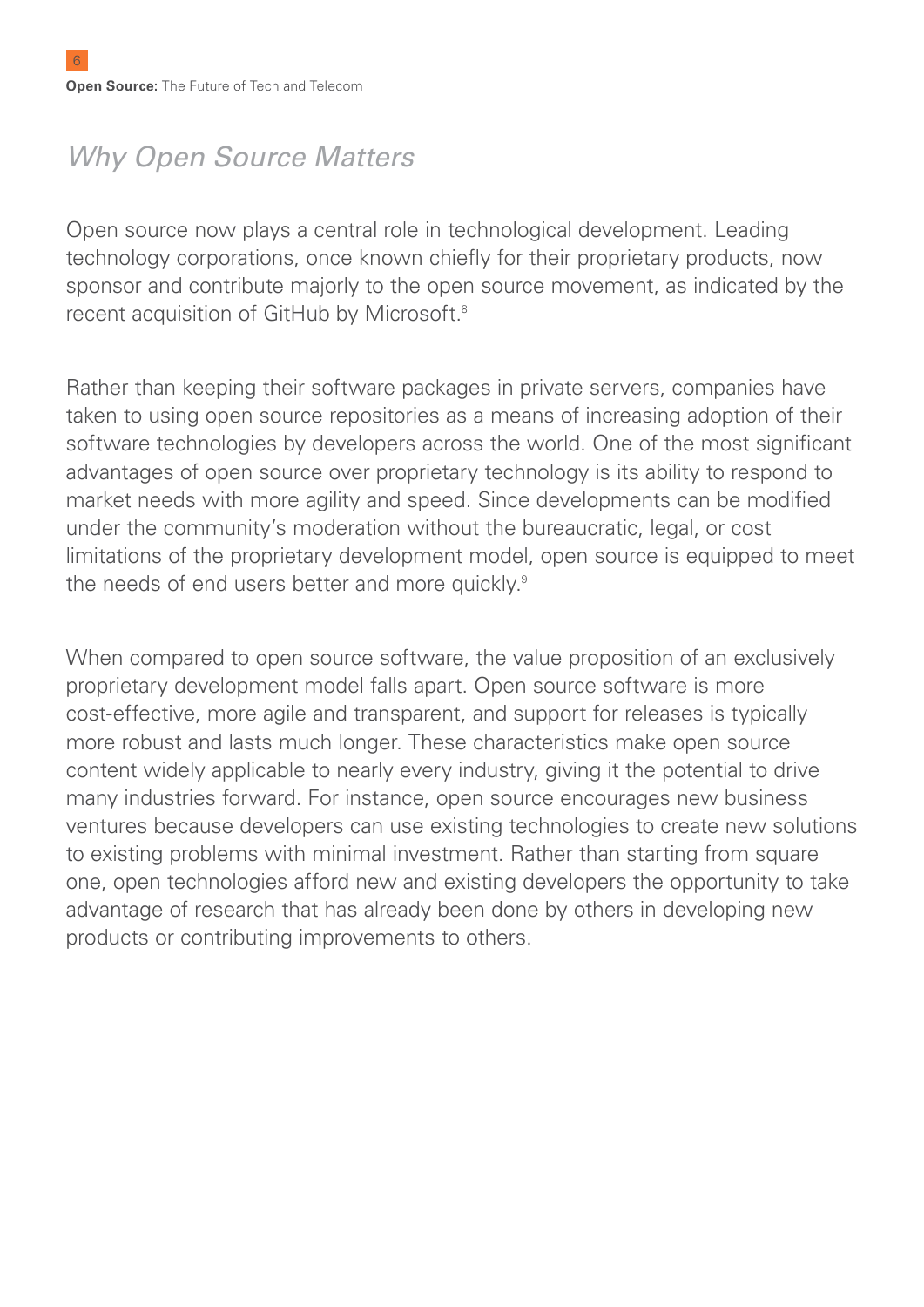### *Why Open Source Matters*

Open source now plays a central role in technological development. Leading technology corporations, once known chiefly for their proprietary products, now sponsor and contribute majorly to the open source movement, as indicated by the recent acquisition of GitHub by Microsoft.8

Rather than keeping their software packages in private servers, companies have taken to using open source repositories as a means of increasing adoption of their software technologies by developers across the world. One of the most significant advantages of open source over proprietary technology is its ability to respond to market needs with more agility and speed. Since developments can be modified under the community's moderation without the bureaucratic, legal, or cost limitations of the proprietary development model, open source is equipped to meet the needs of end users better and more quickly.<sup>9</sup>

When compared to open source software, the value proposition of an exclusively proprietary development model falls apart. Open source software is more cost-effective, more agile and transparent, and support for releases is typically more robust and lasts much longer. These characteristics make open source content widely applicable to nearly every industry, giving it the potential to drive many industries forward. For instance, open source encourages new business ventures because developers can use existing technologies to create new solutions to existing problems with minimal investment. Rather than starting from square one, open technologies afford new and existing developers the opportunity to take advantage of research that has already been done by others in developing new products or contributing improvements to others.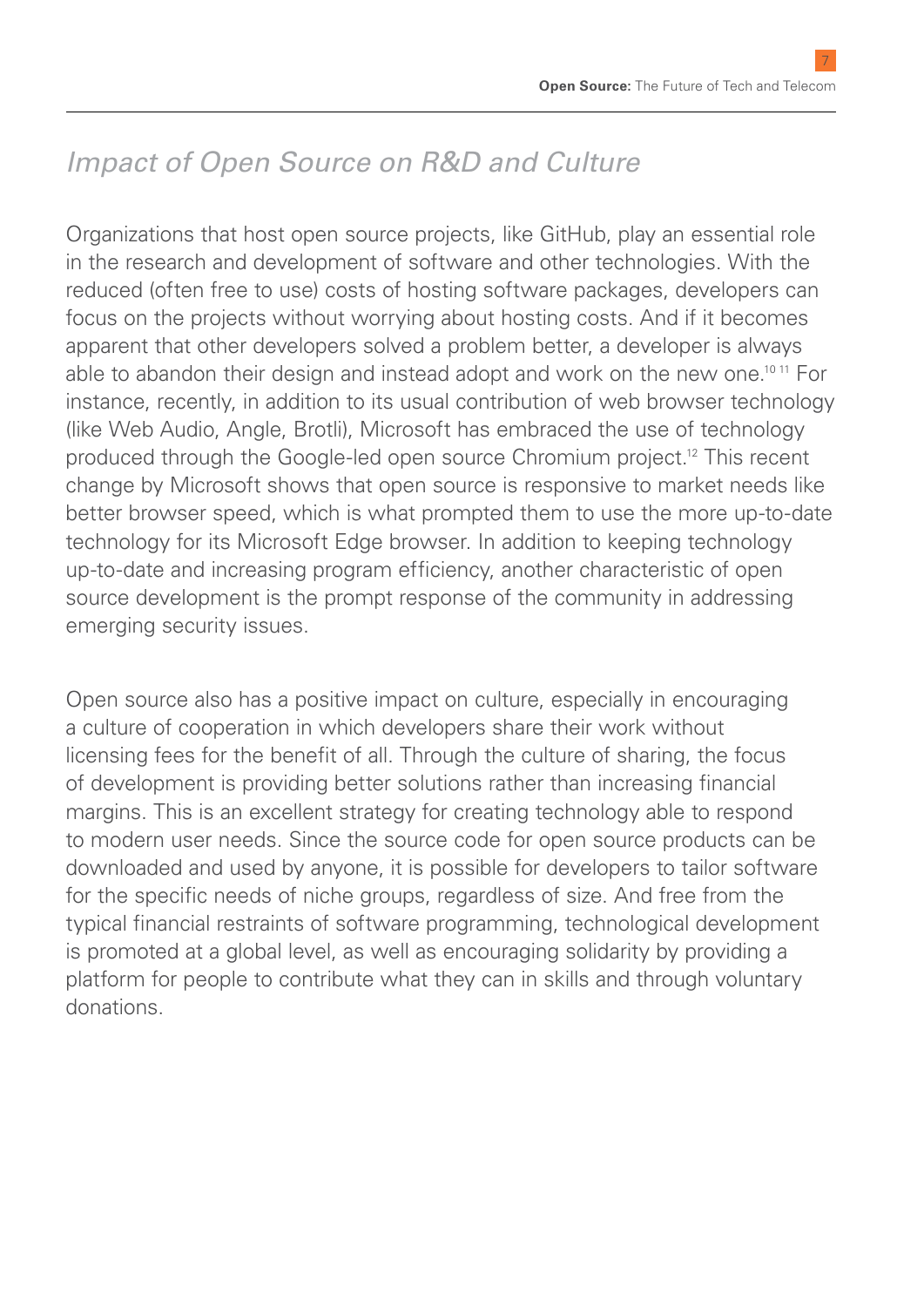7

### *Impact of Open Source on R&D and Culture*

Organizations that host open source projects, like GitHub, play an essential role in the research and development of software and other technologies. With the reduced (often free to use) costs of hosting software packages, developers can focus on the projects without worrying about hosting costs. And if it becomes apparent that other developers solved a problem better, a developer is always able to abandon their design and instead adopt and work on the new one.10 11 For instance, recently, in addition to its usual contribution of web browser technology (like Web Audio, Angle, Brotli), Microsoft has embraced the use of technology produced through the Google-led open source Chromium project.12 This recent change by Microsoft shows that open source is responsive to market needs like better browser speed, which is what prompted them to use the more up-to-date technology for its Microsoft Edge browser. In addition to keeping technology up-to-date and increasing program efficiency, another characteristic of open source development is the prompt response of the community in addressing emerging security issues.

Open source also has a positive impact on culture, especially in encouraging a culture of cooperation in which developers share their work without licensing fees for the benefit of all. Through the culture of sharing, the focus of development is providing better solutions rather than increasing financial margins. This is an excellent strategy for creating technology able to respond to modern user needs. Since the source code for open source products can be downloaded and used by anyone, it is possible for developers to tailor software for the specific needs of niche groups, regardless of size. And free from the typical financial restraints of software programming, technological development is promoted at a global level, as well as encouraging solidarity by providing a platform for people to contribute what they can in skills and through voluntary donations.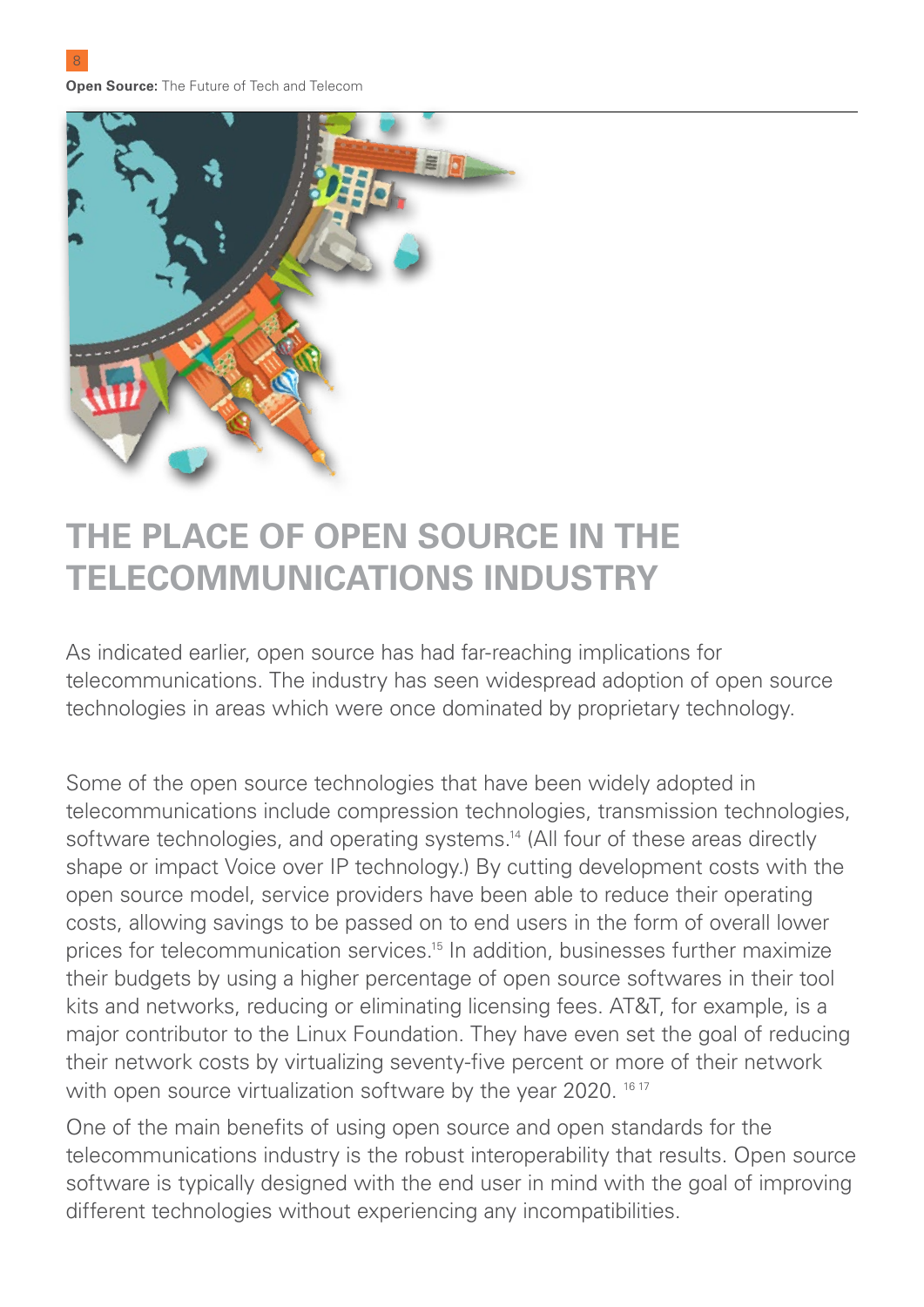**Open Source:** The Future of Tech and Telecom

 $\mathbf{Q}$ 



### **THE PLACE OF OPEN SOURCE IN THE TELECOMMUNICATIONS INDUSTRY**

As indicated earlier, open source has had far-reaching implications for telecommunications. The industry has seen widespread adoption of open source technologies in areas which were once dominated by proprietary technology.

Some of the open source technologies that have been widely adopted in telecommunications include compression technologies, transmission technologies, software technologies, and operating systems.<sup>14</sup> (All four of these areas directly shape or impact Voice over IP technology.) By cutting development costs with the open source model, service providers have been able to reduce their operating costs, allowing savings to be passed on to end users in the form of overall lower prices for telecommunication services.15 In addition, businesses further maximize their budgets by using a higher percentage of open source softwares in their tool kits and networks, reducing or eliminating licensing fees. AT&T, for example, is a major contributor to the Linux Foundation. They have even set the goal of reducing their network costs by virtualizing seventy-five percent or more of their network with open source virtualization software by the year 2020. <sup>16 17</sup>

One of the main benefits of using open source and open standards for the telecommunications industry is the robust interoperability that results. Open source software is typically designed with the end user in mind with the goal of improving different technologies without experiencing any incompatibilities.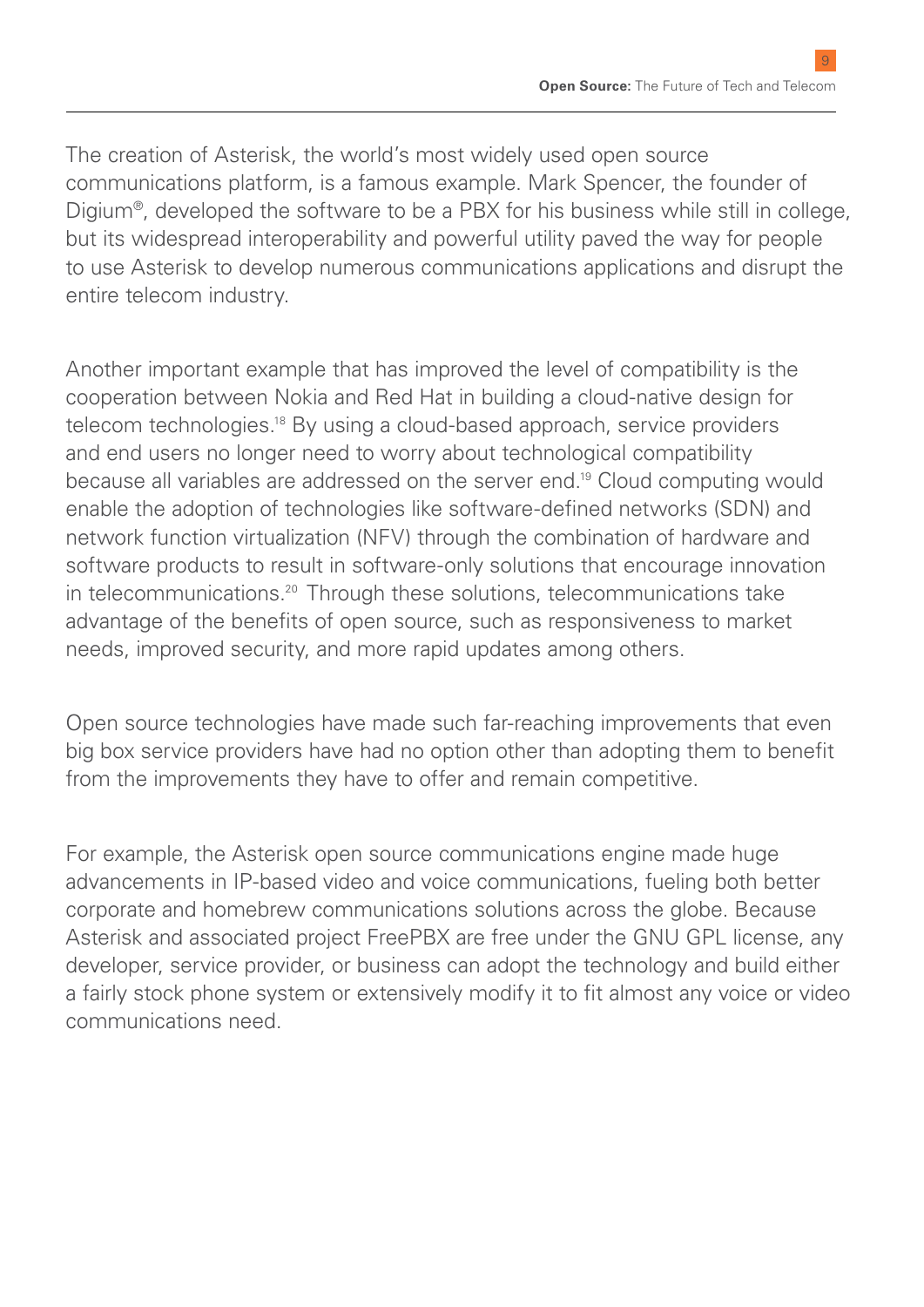The creation of Asterisk, the world's most widely used open source communications platform, is a famous example. Mark Spencer, the founder of Digium®, developed the software to be a PBX for his business while still in college, but its widespread interoperability and powerful utility paved the way for people to use Asterisk to develop numerous communications applications and disrupt the entire telecom industry.

Another important example that has improved the level of compatibility is the cooperation between Nokia and Red Hat in building a cloud-native design for telecom technologies.<sup>18</sup> By using a cloud-based approach, service providers and end users no longer need to worry about technological compatibility because all variables are addressed on the server end.19 Cloud computing would enable the adoption of technologies like software-defined networks (SDN) and network function virtualization (NFV) through the combination of hardware and software products to result in software-only solutions that encourage innovation in telecommunications.<sup>20</sup> Through these solutions, telecommunications take advantage of the benefits of open source, such as responsiveness to market needs, improved security, and more rapid updates among others.

Open source technologies have made such far-reaching improvements that even big box service providers have had no option other than adopting them to benefit from the improvements they have to offer and remain competitive.

For example, the Asterisk open source communications engine made huge advancements in IP-based video and voice communications, fueling both better corporate and homebrew communications solutions across the globe. Because Asterisk and associated project FreePBX are free under the GNU GPL license, any developer, service provider, or business can adopt the technology and build either a fairly stock phone system or extensively modify it to fit almost any voice or video communications need.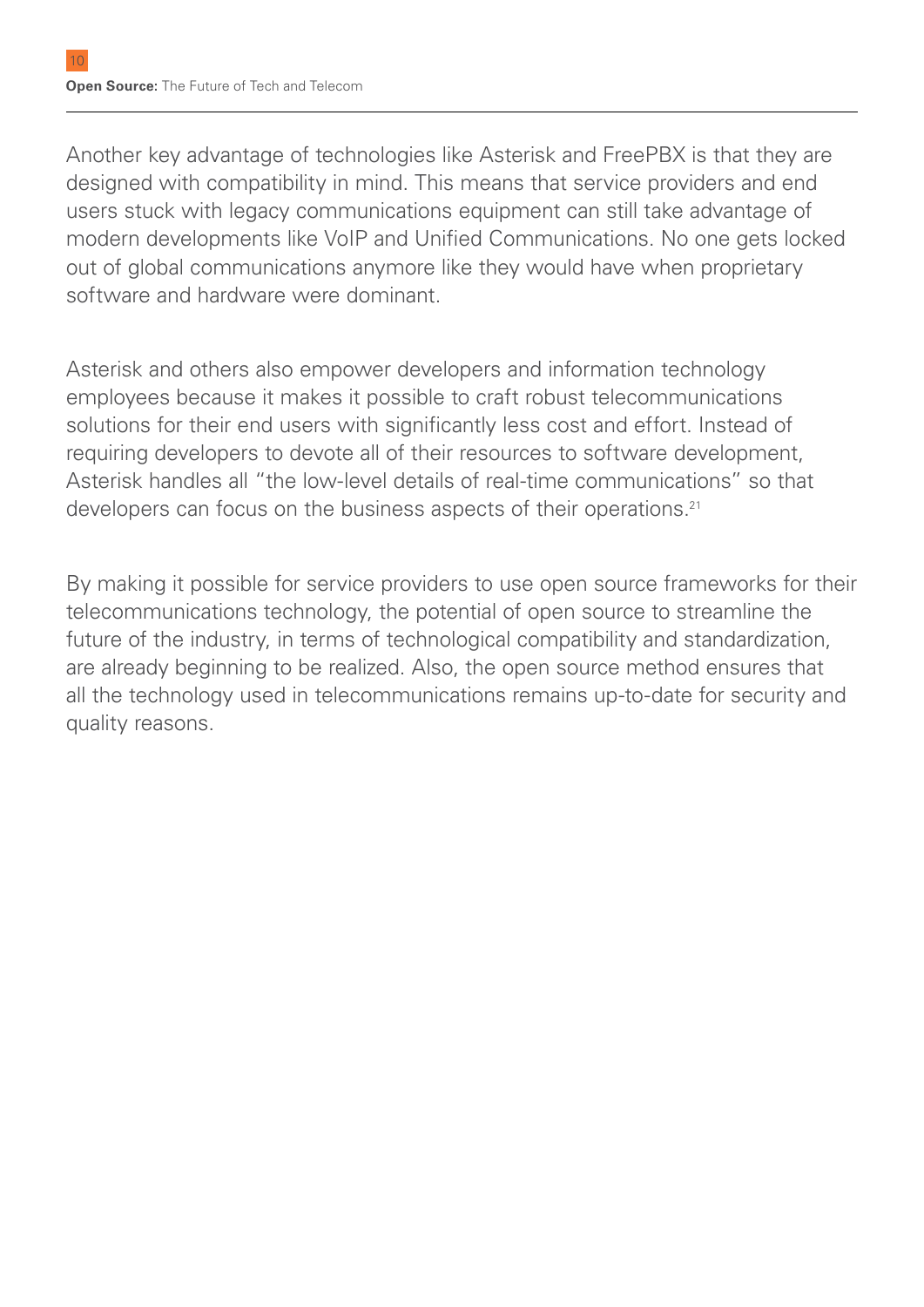Another key advantage of technologies like Asterisk and FreePBX is that they are designed with compatibility in mind. This means that service providers and end users stuck with legacy communications equipment can still take advantage of modern developments like VoIP and Unified Communications. No one gets locked out of global communications anymore like they would have when proprietary software and hardware were dominant.

Asterisk and others also empower developers and information technology employees because it makes it possible to craft robust telecommunications solutions for their end users with significantly less cost and effort. Instead of requiring developers to devote all of their resources to software development, Asterisk handles all "the low-level details of real-time communications" so that developers can focus on the business aspects of their operations.<sup>21</sup>

By making it possible for service providers to use open source frameworks for their telecommunications technology, the potential of open source to streamline the future of the industry, in terms of technological compatibility and standardization, are already beginning to be realized. Also, the open source method ensures that all the technology used in telecommunications remains up-to-date for security and quality reasons.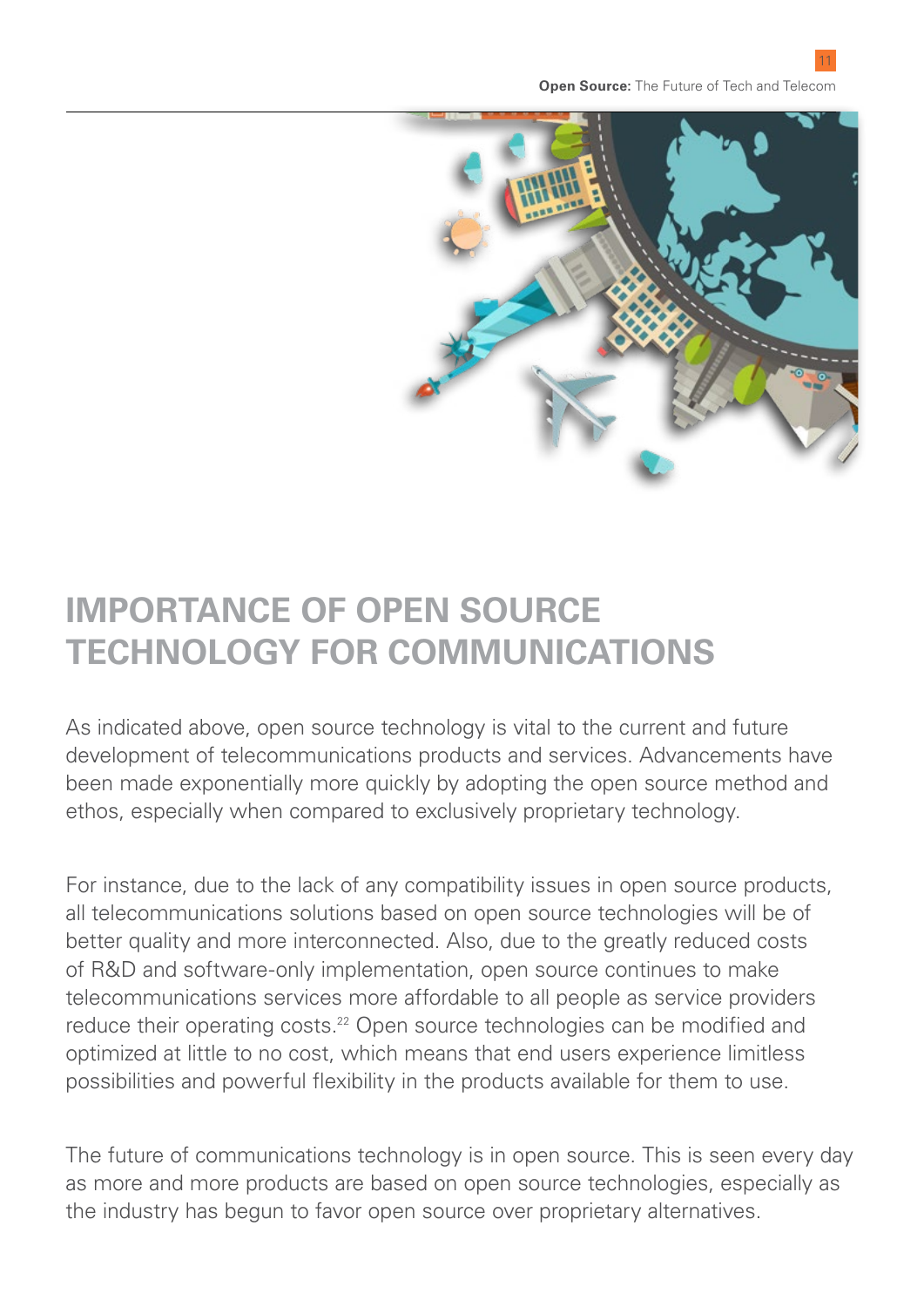

### **IMPORTANCE OF OPEN SOURCE TECHNOLOGY FOR COMMUNICATIONS**

As indicated above, open source technology is vital to the current and future development of telecommunications products and services. Advancements have been made exponentially more quickly by adopting the open source method and ethos, especially when compared to exclusively proprietary technology.

For instance, due to the lack of any compatibility issues in open source products, all telecommunications solutions based on open source technologies will be of better quality and more interconnected. Also, due to the greatly reduced costs of R&D and software-only implementation, open source continues to make telecommunications services more affordable to all people as service providers reduce their operating costs.<sup>22</sup> Open source technologies can be modified and optimized at little to no cost, which means that end users experience limitless possibilities and powerful flexibility in the products available for them to use.

The future of communications technology is in open source. This is seen every day as more and more products are based on open source technologies, especially as the industry has begun to favor open source over proprietary alternatives.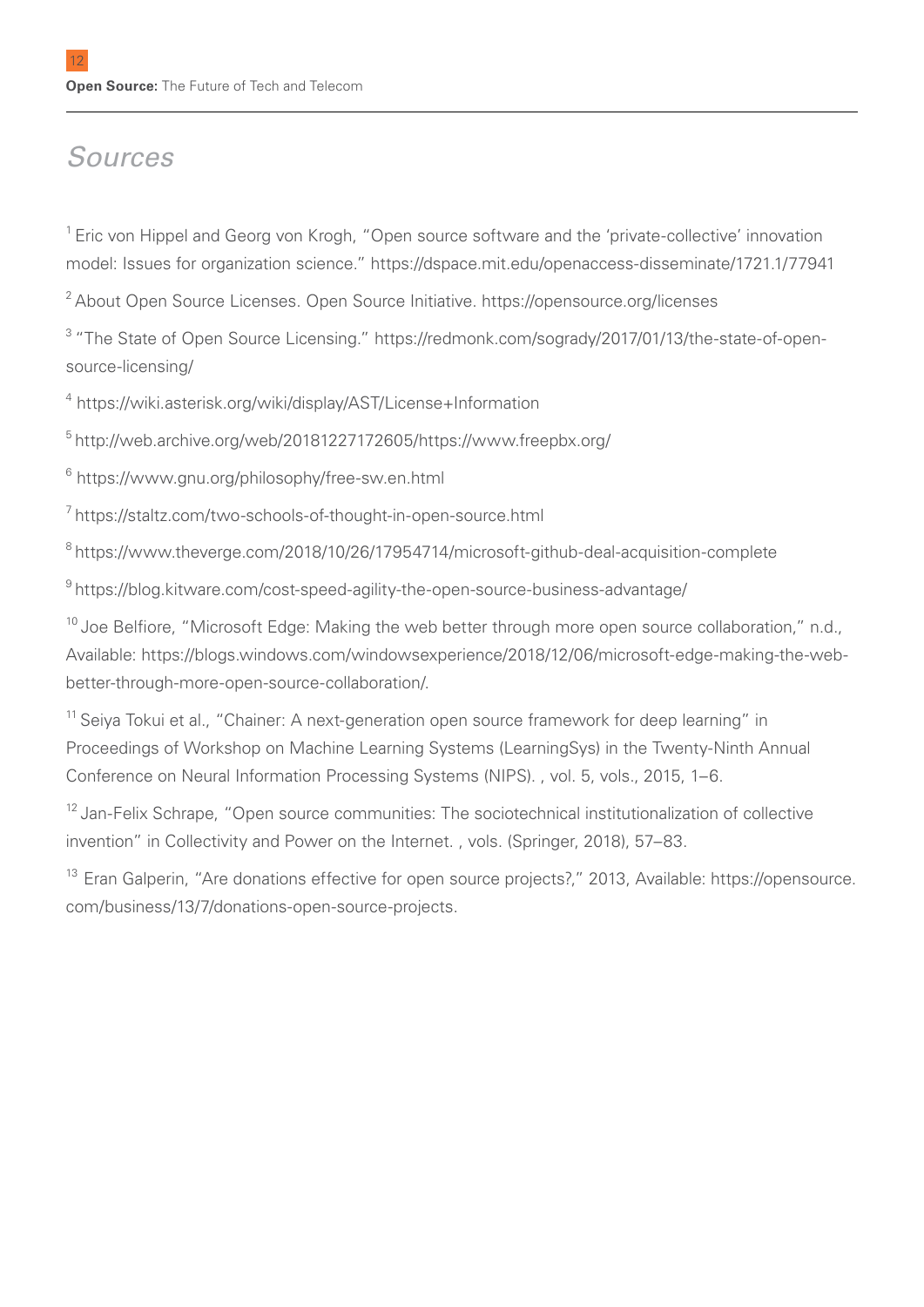### *Sources*

<sup>1</sup> Eric von Hippel and Georg von Krogh, "Open source software and the 'private-collective' innovation model: Issues for organization science." https://dspace.mit.edu/openaccess-disseminate/1721.1/77941

2 About Open Source Licenses. Open Source Initiative. https://opensource.org/licenses

<sup>3</sup> "The State of Open Source Licensing." https://redmonk.com/sogrady/2017/01/13/the-state-of-opensource-licensing/

4 https://wiki.asterisk.org/wiki/display/AST/License+Information

5 http://web.archive.org/web/20181227172605/https://www.freepbx.org/

 $^6$  https://www.gnu.org/philosophy/free-sw.en.html

7 https://staltz.com/two-schools-of-thought-in-open-source.html

8 https://www.theverge.com/2018/10/26/17954714/microsoft-github-deal-acquisition-complete

9 https://blog.kitware.com/cost-speed-agility-the-open-source-business-advantage/

<sup>10</sup> Joe Belfiore, "Microsoft Edge: Making the web better through more open source collaboration," n.d., Available: https://blogs.windows.com/windowsexperience/2018/12/06/microsoft-edge-making-the-webbetter-through-more-open-source-collaboration/.

<sup>11</sup> Seiya Tokui et al., "Chainer: A next-generation open source framework for deep learning" in Proceedings of Workshop on Machine Learning Systems (LearningSys) in the Twenty-Ninth Annual Conference on Neural Information Processing Systems (NIPS). , vol. 5, vols., 2015, 1–6.

<sup>12</sup> Jan-Felix Schrape, "Open source communities: The sociotechnical institutionalization of collective invention" in Collectivity and Power on the Internet. , vols. (Springer, 2018), 57–83.

<sup>13</sup> Eran Galperin, "Are donations effective for open source projects?," 2013, Available: https://opensource. com/business/13/7/donations-open-source-projects.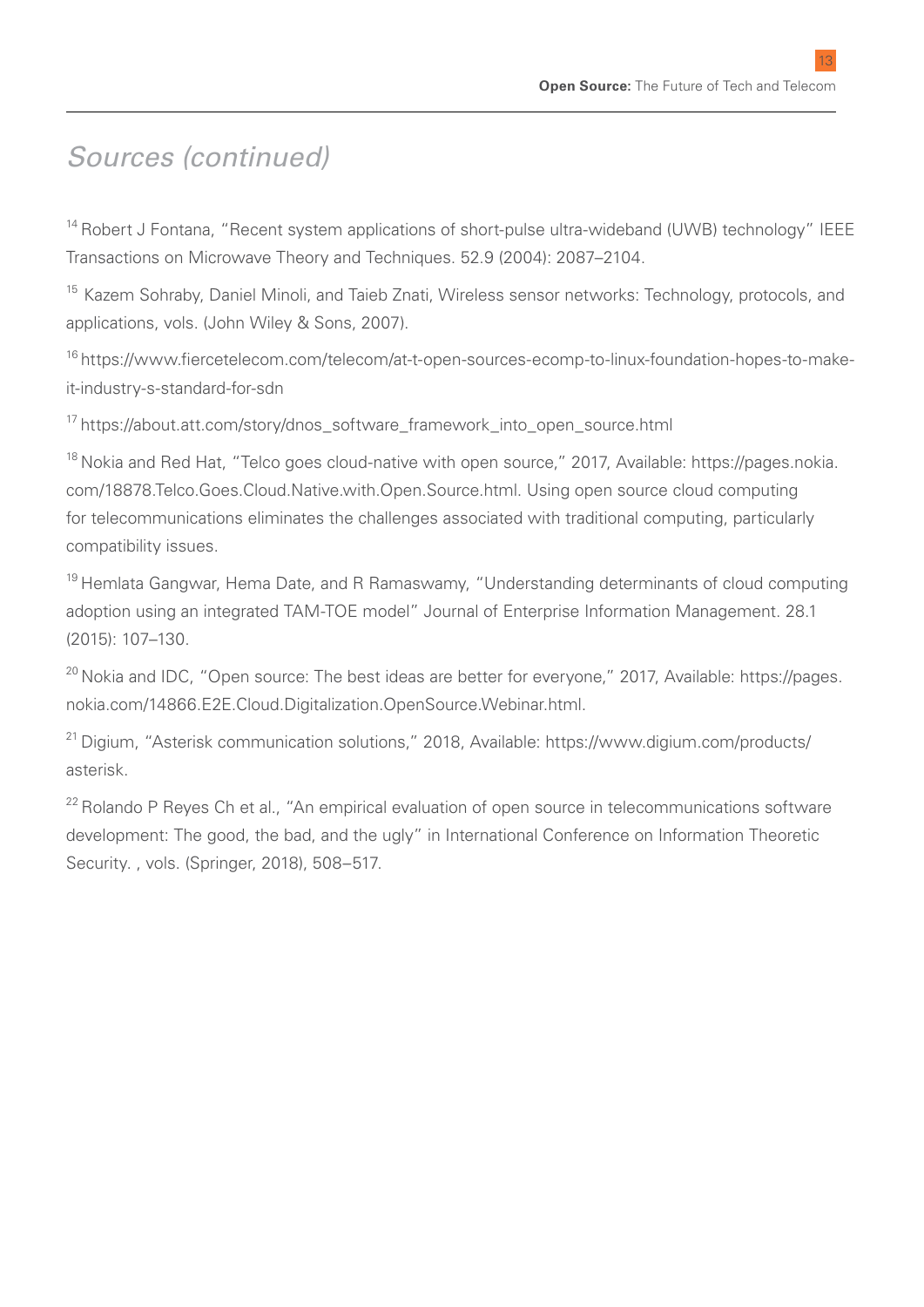13

### *Sources (continued)*

<sup>14</sup> Robert J Fontana, "Recent system applications of short-pulse ultra-wideband (UWB) technology" IEEE Transactions on Microwave Theory and Techniques. 52.9 (2004): 2087–2104.

<sup>15</sup> Kazem Sohrabv. Daniel Minoli, and Taieb Znati, Wireless sensor networks: Technology, protocols, and applications, vols. (John Wiley & Sons, 2007).

16 https://www.fiercetelecom.com/telecom/at-t-open-sources-ecomp-to-linux-foundation-hopes-to-makeit-industry-s-standard-for-sdn

<sup>17</sup> https://about.att.com/story/dnos\_software\_framework\_into\_open\_source.html

18 Nokia and Red Hat, "Telco goes cloud-native with open source," 2017, Available: https://pages.nokia. com/18878.Telco.Goes.Cloud.Native.with.Open.Source.html. Using open source cloud computing for telecommunications eliminates the challenges associated with traditional computing, particularly compatibility issues.

<sup>19</sup> Hemlata Gangwar, Hema Date, and R Ramaswamy, "Understanding determinants of cloud computing adoption using an integrated TAM-TOE model" Journal of Enterprise Information Management. 28.1 (2015): 107–130.

<sup>20</sup> Nokia and IDC, "Open source: The best ideas are better for everyone," 2017, Available: https://pages. nokia.com/14866.E2E.Cloud.Digitalization.OpenSource.Webinar.html.

21 Digium, "Asterisk communication solutions," 2018, Available: https://www.digium.com/products/ asterisk.

<sup>22</sup> Rolando P Reyes Ch et al., "An empirical evaluation of open source in telecommunications software development: The good, the bad, and the ugly" in International Conference on Information Theoretic Security. , vols. (Springer, 2018), 508–517.